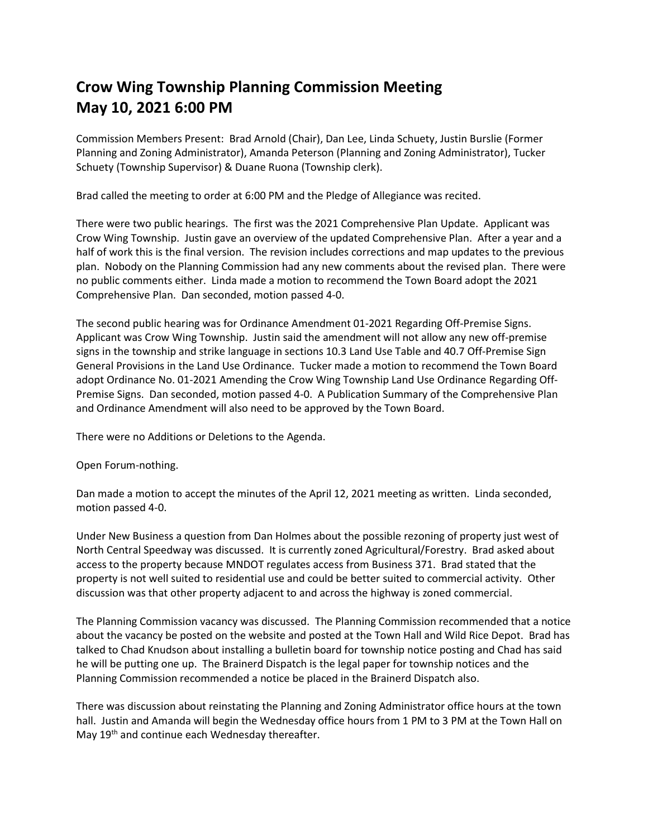## **Crow Wing Township Planning Commission Meeting May 10, 2021 6:00 PM**

Commission Members Present: Brad Arnold (Chair), Dan Lee, Linda Schuety, Justin Burslie (Former Planning and Zoning Administrator), Amanda Peterson (Planning and Zoning Administrator), Tucker Schuety (Township Supervisor) & Duane Ruona (Township clerk).

Brad called the meeting to order at 6:00 PM and the Pledge of Allegiance was recited.

There were two public hearings. The first was the 2021 Comprehensive Plan Update. Applicant was Crow Wing Township. Justin gave an overview of the updated Comprehensive Plan. After a year and a half of work this is the final version. The revision includes corrections and map updates to the previous plan. Nobody on the Planning Commission had any new comments about the revised plan. There were no public comments either. Linda made a motion to recommend the Town Board adopt the 2021 Comprehensive Plan. Dan seconded, motion passed 4-0.

The second public hearing was for Ordinance Amendment 01-2021 Regarding Off-Premise Signs. Applicant was Crow Wing Township. Justin said the amendment will not allow any new off-premise signs in the township and strike language in sections 10.3 Land Use Table and 40.7 Off-Premise Sign General Provisions in the Land Use Ordinance. Tucker made a motion to recommend the Town Board adopt Ordinance No. 01-2021 Amending the Crow Wing Township Land Use Ordinance Regarding Off-Premise Signs. Dan seconded, motion passed 4-0. A Publication Summary of the Comprehensive Plan and Ordinance Amendment will also need to be approved by the Town Board.

There were no Additions or Deletions to the Agenda.

Open Forum-nothing.

Dan made a motion to accept the minutes of the April 12, 2021 meeting as written. Linda seconded, motion passed 4-0.

Under New Business a question from Dan Holmes about the possible rezoning of property just west of North Central Speedway was discussed. It is currently zoned Agricultural/Forestry. Brad asked about access to the property because MNDOT regulates access from Business 371. Brad stated that the property is not well suited to residential use and could be better suited to commercial activity. Other discussion was that other property adjacent to and across the highway is zoned commercial.

The Planning Commission vacancy was discussed. The Planning Commission recommended that a notice about the vacancy be posted on the website and posted at the Town Hall and Wild Rice Depot. Brad has talked to Chad Knudson about installing a bulletin board for township notice posting and Chad has said he will be putting one up. The Brainerd Dispatch is the legal paper for township notices and the Planning Commission recommended a notice be placed in the Brainerd Dispatch also.

There was discussion about reinstating the Planning and Zoning Administrator office hours at the town hall. Justin and Amanda will begin the Wednesday office hours from 1 PM to 3 PM at the Town Hall on May 19<sup>th</sup> and continue each Wednesday thereafter.